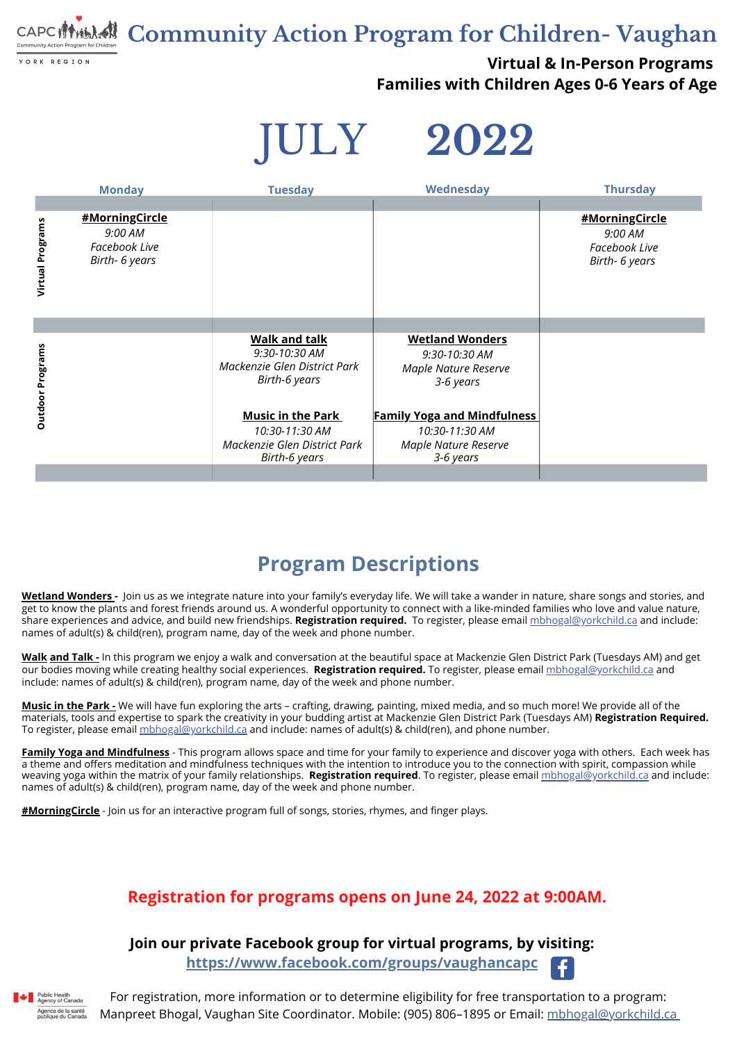**Community Action Program for Children- Vaughan** nunity Action Program for Children

YORK REGION

#### **Virtual & In-Person Programs Families with Children Ages 0-6 Years of Age**

JULY **2022**

For registration, more information or to determine eligibility for free transportation to a program: Manpreet Bhogal, Vaughan Site Coordinator. Mobile: (905) 806–1895 or Email: [mbhogal@yorkchild.ca](mailto:mbhogal@yorkchild.ca)

**Join our private Facebook group for virtual programs, by visiting:**

**<https://www.facebook.com/groups/vaughancapc>**



#### **Registration for programs opens on June 24, 2022 at 9:00AM.**

### **Program Descriptions**

**[Music](mailto:mbhogal@yorkchild.ca) in the Park -** We will have fun exploring the arts – crafting, drawing, painting, mixed media, and so much more! We provide all of the materials, tools and expertise to spark the creativity in your budding artist at Mackenzie Glen District Park (Tuesdays AM) **[Registration](mailto:mbhogal@yorkchild.ca) Required.** To [register,](mailto:mbhogal@yorkchild.ca) please email *[mbhogal@yorkchild.ca](mailto:mbhogal@yorkchild.ca)* and include: names of adult(s) & [child\(ren\),](mailto:mbhogal@yorkchild.ca) and phone number.

**Wetland Wonders -** [J](https://www.facebook.com/groups/vaughancapc)oin us as we integrate nature into your family's everyday life. We will take a wander in nature, share songs and stories, and get to know the plants and forest friends around us. A w[on](https://www.facebook.com/groups/vaughancapc)derful [opportunity](https://www.facebook.com/groups/vaughancapc) to connect with a like-minded families who love and value nature, share experiences and advice, and build new friendships. **Registration required.** To [register,](https://www.facebook.com/groups/vaughancapc) please email [mbhogal@yorkchild.ca](https://www.facebook.com/groups/vaughancapc) and include: names of adult(s) & child(ren), program name, day of the week and phone number.

**[Walk](mailto:mbhogal@yorkchild.ca) and Talk -** In this program we enjoy a walk and conver[sa](https://www.facebook.com/hashtag/MotherEarthMonday/?__gid__=375811973311481)tion at the beautiful space at Mackenzie Glen District Park (Tuesdays AM) and get our bodies moving while creating healthy social experiences. **Registration required.** To register, please email [mbhogal@yorkchild.ca](https://www.facebook.com/hashtag/MotherEarthMonday/?__gid__=375811973311481) and include: names of adult(s) & child(ren), program name, day of the week and phone number.

| <b>Tuesday</b>                                                                                     | Wednesday                                                                           | <b>Thursday</b>                                                     |
|----------------------------------------------------------------------------------------------------|-------------------------------------------------------------------------------------|---------------------------------------------------------------------|
|                                                                                                    |                                                                                     |                                                                     |
|                                                                                                    |                                                                                     | #MorningCircle<br>9:00 AM<br><b>Facebook Live</b><br>Birth- 6 years |
|                                                                                                    |                                                                                     |                                                                     |
| <b>Walk and talk</b><br>9:30-10:30 AM<br>Mackenzie Glen District Park<br>Birth-6 years             | <b>Wetland Wonders</b><br>9:30-10:30 AM<br><b>Maple Nature Reserve</b><br>3-6 years |                                                                     |
| <b>Music in the Park</b><br>10:30-11:30 AM<br>Mackenzie Glen District Park<br><b>Birth-6 years</b> | 10:30-11:30 AM<br><b>Maple Nature Reserve</b><br>3-6 years                          |                                                                     |
|                                                                                                    |                                                                                     | <b>Family Yoga and Mindfulness</b>                                  |

**Family Yoga and Mindfulness** - This program allows space and time for your family to experience and discover yoga with others. Each week has a theme and offers meditation and mindfulness techniques with the intention to introduce you to the connection with spirit, compassion while weaving yoga within the matrix of your family relationships. **Registration required**. To register, please email [mbhogal@yorkchild.ca](mailto:mbhogal@yorkchild.ca) and include: names of adult(s) & child(ren), program name, day of the week and phone number.

**[#M](https://www.facebook.com/groups/vaughancapc)orningCircle** - Join us for an [interactive](https://www.facebook.com/hashtag/breakfaststorytime?__gid__=2724589697775491) program full of songs, stories, rhymes, and finger plays.